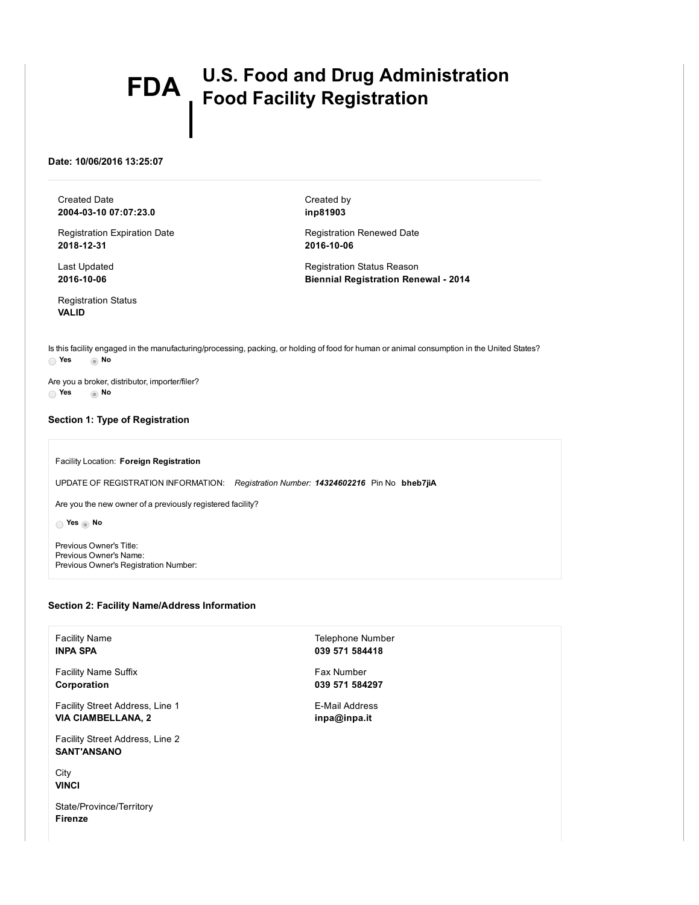# FDA | U.S. Food and Drug Administration Food Facility Registration

## Date: 10/06/2016 13:25:07

Created Date 20040310 07:07:23.0

Registration Expiration Date 2018-12-31

Last Updated 2016-10-06

Registration Status VALID

Created by inp81903

Registration Renewed Date 2016-10-06

Registration Status Reason **Biennial Registration Renewal - 2014** 

Is this facility engaged in the manufacturing/processing, packing, or holding of food for human or animal consumption in the United States? Yes No

Are you a broker, distributor, importer/filer? Yes No

# Section 1: Type of Registration

#### Facility Location: Foreign Registration

UPDATE OF REGISTRATION INFORMATION: *Registration Number: 14324602216* Pin No bheb7jiA

Are you the new owner of a previously registered facility?

res to No

Previous Owner's Title: Previous Owner's Name: Previous Owner's Registration Number:

## Section 2: Facility Name/Address Information

Facility Name INPA SPA

Facility Name Suffix Corporation

Facility Street Address, Line 1 VIA CIAMBELLANA, 2

Facility Street Address, Line 2 SANT'ANSANO

**City VINCI** 

State/Province/Territory Firenze

Telephone Number 039 571 584418

## Fax Number 039 571 584297

E-Mail Address inpa@inpa.it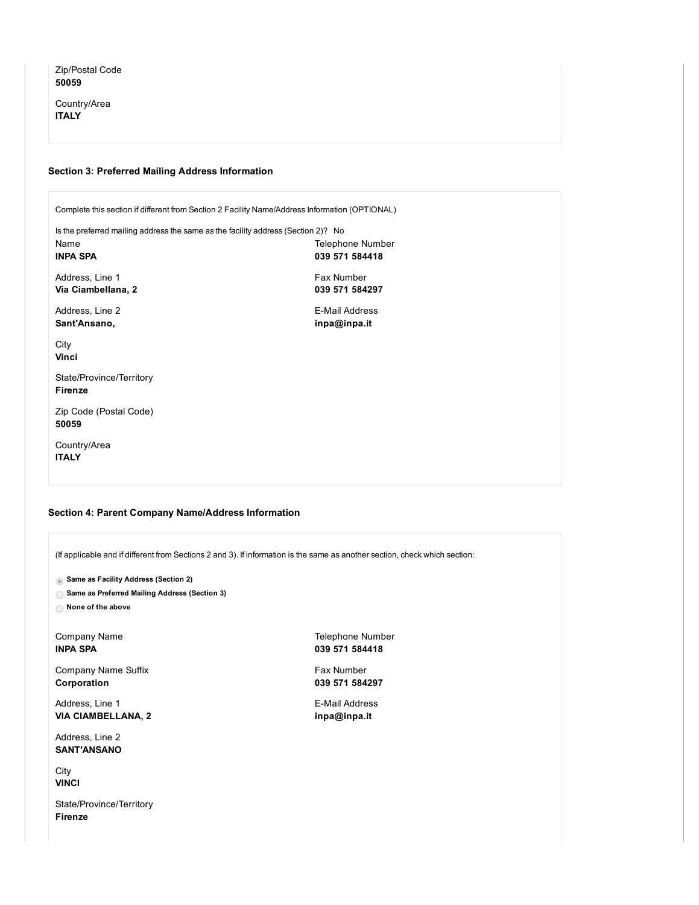Zip/Postal Code 50059

Country/Area **ITALY** 

## Section 3: Preferred Mailing Address Information

Complete this section if different from Section 2 Facility Name/Address Information (OPTIONAL) Is the preferred mailing address the same as the facility address (Section 2)? No Name INPA SPA Telephone Number 039 571 584418

Address, Line 1 Via Ciambellana, 2

Address, Line 2 Sant'Ansano,

039 571 584297 E-Mail Address

**City** Vinci

State/Province/Territory Firenze

Zip Code (Postal Code) 50059

Country/Area ITALY

#### Section 4: Parent Company Name/Address Information

(If applicable and if different from Sections 2 and 3). If information is the same as another section, check which section:

**Same as Facility Address (Section 2)** 

Same as Preferred Mailing Address (Section 3)

None of the above

Company Name INPA SPA

Company Name Suffix Corporation

Address, Line 1 VIA CIAMBELLANA, 2

Address, Line 2 SANT'ANSANO

**City VINCI** 

State/Province/Territory Firenze

Telephone Number 039 571 584418

Fax Number 039 571 584297

E-Mail Address inpa@inpa.it

Fax Number

inpa@inpa.it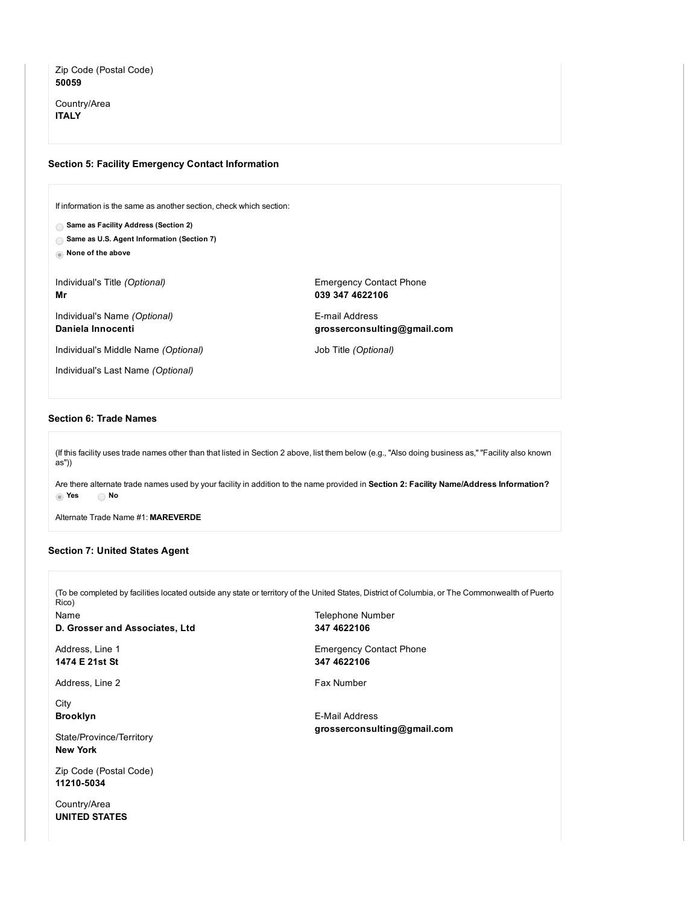# Zip Code (Postal Code) 50059

Country/Area ITALY

## Section 5: Facility Emergency Contact Information

If information is the same as another section, check which section:

- Same as Facility Address (Section 2)
- Same as U.S. Agent Information (Section 7)
- None of the above

Individual's Title *(Optional)* Mr

Individual's Name *(Optional)* Daniela Innocenti

Individual's Middle Name *(Optional)*

Individual's Last Name *(Optional)*

Emergency Contact Phone 039 347 4622106

**E-mail Address** grosserconsulting@gmail.com

Job Title *(Optional)*

## Section 6: Trade Names

(If this facility uses trade names other than that listed in Section 2 above, list them below (e.g., "Also doing business as," "Facility also known as"))

Are there alternate trade names used by your facility in addition to the name provided in Section 2: Facility Name/Address Information? Yes No

Alternate Trade Name #1: MAREVERDE

## Section 7: United States Agent

(To be completed by facilities located outside any state or territory of the United States, District of Columbia, or The Commonwealth of Puerto Rico) Name D. Grosser and Associates, Ltd Address, Line 1 1474 E 21st St Address, Line 2 **City** Brooklyn State/Province/Territory New York Telephone Number 347 4622106 Emergency Contact Phone 347 4622106 Fax Number E-Mail Address grosserconsulting@gmail.com

Zip Code (Postal Code) 11210-5034

Country/Area UNITED STATES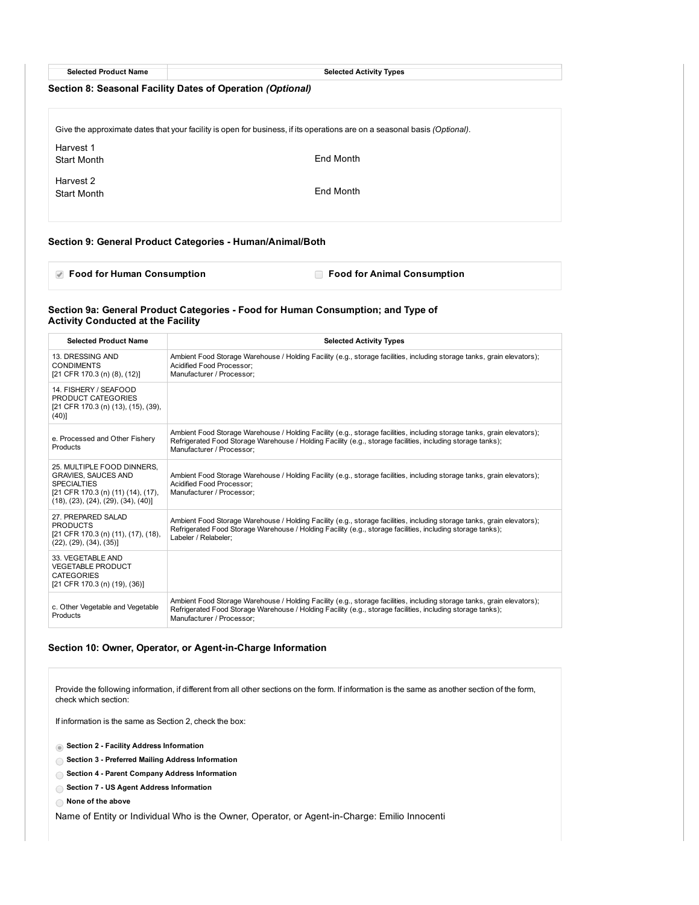| <b>Selected Product Name</b> |  |
|------------------------------|--|
|------------------------------|--|

Selected Activity Types

## Section 8: Seasonal Facility Dates of Operation *(Optional)*

Give the approximate dates that your facility is open for business, if its operations are on a seasonal basis *(Optional)*. Harvest 1 Start Month Harvest 2 Start Month End Month End Month

## Section 9: General Product Categories - Human/Animal/Both

**Food for Human Consumption** Food for Animal Consumption

## Section 9a: General Product Categories Food for Human Consumption; and Type of Activity Conducted at the Facility

| <b>Selected Product Name</b>                                                                                                                                                  | <b>Selected Activity Types</b>                                                                                                                                                                                                                                      |
|-------------------------------------------------------------------------------------------------------------------------------------------------------------------------------|---------------------------------------------------------------------------------------------------------------------------------------------------------------------------------------------------------------------------------------------------------------------|
| 13. DRESSING AND<br><b>CONDIMENTS</b><br>[21 CFR 170.3 (n) (8), (12)]                                                                                                         | Ambient Food Storage Warehouse / Holding Facility (e.g., storage facilities, including storage tanks, grain elevators);<br>Acidified Food Processor:<br>Manufacturer / Processor:                                                                                   |
| 14. FISHERY / SEAFOOD<br>PRODUCT CATEGORIES<br>[21 CFR 170.3 (n) (13), (15), (39),<br>$(40)$ ]                                                                                |                                                                                                                                                                                                                                                                     |
| e. Processed and Other Fishery<br>Products                                                                                                                                    | Ambient Food Storage Warehouse / Holding Facility (e.g., storage facilities, including storage tanks, grain elevators);<br>Refrigerated Food Storage Warehouse / Holding Facility (e.g., storage facilities, including storage tanks);<br>Manufacturer / Processor: |
| 25. MULTIPLE FOOD DINNERS.<br><b>GRAVIES, SAUCES AND</b><br><b>SPECIALTIES</b><br>[21 CFR 170.3 (n) (11) (14), (17),<br>$(18)$ , $(23)$ , $(24)$ , $(29)$ , $(34)$ , $(40)$ ] | Ambient Food Storage Warehouse / Holding Facility (e.g., storage facilities, including storage tanks, grain elevators);<br>Acidified Food Processor:<br>Manufacturer / Processor:                                                                                   |
| 27. PREPARED SALAD<br><b>PRODUCTS</b><br>[21 CFR 170.3 (n) (11), (17), (18),<br>(22), (29), (34), (35)                                                                        | Ambient Food Storage Warehouse / Holding Facility (e.g., storage facilities, including storage tanks, grain elevators);<br>Refrigerated Food Storage Warehouse / Holding Facility (e.g., storage facilities, including storage tanks);<br>Labeler / Relabeler:      |
| 33. VEGETABLE AND<br><b>VEGETABLE PRODUCT</b><br><b>CATEGORIES</b><br>[21 CFR 170.3 (n) (19), (36)]                                                                           |                                                                                                                                                                                                                                                                     |
| c. Other Vegetable and Vegetable<br>Products                                                                                                                                  | Ambient Food Storage Warehouse / Holding Facility (e.g., storage facilities, including storage tanks, grain elevators);<br>Refrigerated Food Storage Warehouse / Holding Facility (e.g., storage facilities, including storage tanks);<br>Manufacturer / Processor: |

## Section 10: Owner, Operator, or Agent-in-Charge Information

Provide the following information, if different from all other sections on the form. If information is the same as another section of the form, check which section:

If information is the same as Section 2, check the box:

Section 2 Facility Address Information

◯ Section 3 - Preferred Mailing Address Information

- ◯ Section 4 Parent Company Address Information
- ◯ Section 7 US Agent Address Information

None of the above

Name of Entity or Individual Who is the Owner, Operator, or Agent-in-Charge: Emilio Innocenti